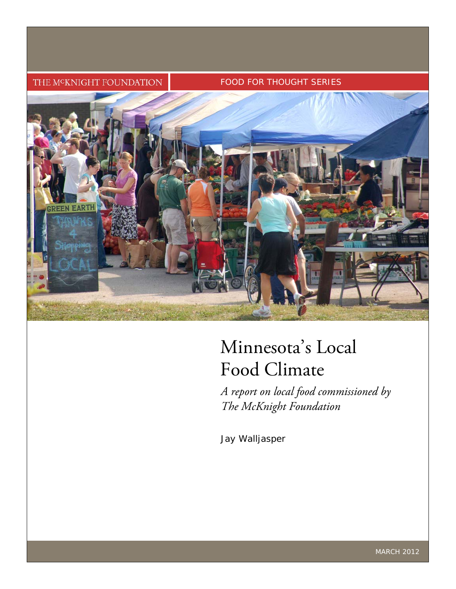#### THE M<sup>C</sup>KNIGHT FOUNDATION

#### FOOD FOR THOUGHT SERIES



# Minnesota's Local Food Climate

*A report on local food commissioned by The McKnight Foundation* 

Jay Walljasper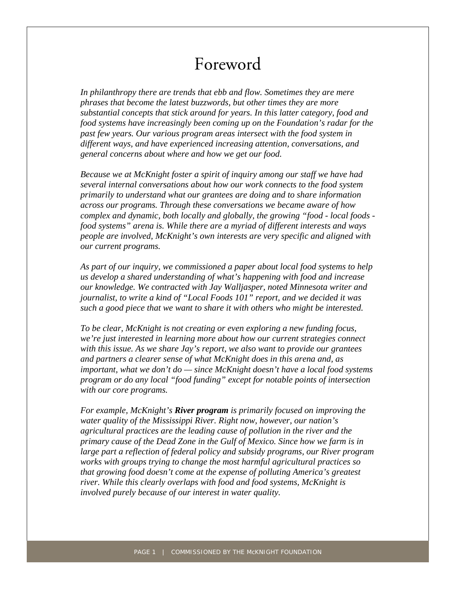## Foreword

*In philanthropy there are trends that ebb and flow. Sometimes they are mere phrases that become the latest buzzwords, but other times they are more substantial concepts that stick around for years. In this latter category, food and food systems have increasingly been coming up on the Foundation's radar for the past few years. Our various program areas intersect with the food system in different ways, and have experienced increasing attention, conversations, and general concerns about where and how we get our food.* 

*Because we at McKnight foster a spirit of inquiry among our staff we have had several internal conversations about how our work connects to the food system primarily to understand what our grantees are doing and to share information across our programs. Through these conversations we became aware of how complex and dynamic, both locally and globally, the growing "food - local foods food systems" arena is. While there are a myriad of different interests and ways people are involved, McKnight's own interests are very specific and aligned with our current programs.* 

*As part of our inquiry, we commissioned a paper about local food systems to help us develop a shared understanding of what's happening with food and increase our knowledge. We contracted with Jay Walljasper, noted Minnesota writer and journalist, to write a kind of "Local Foods 101" report, and we decided it was such a good piece that we want to share it with others who might be interested.* 

*To be clear, McKnight is not creating or even exploring a new funding focus, we're just interested in learning more about how our current strategies connect with this issue. As we share Jay's report, we also want to provide our grantees and partners a clearer sense of what McKnight does in this arena and, as important, what we don't do — since McKnight doesn't have a local food systems program or do any local "food funding" except for notable points of intersection with our core programs.* 

*For example, McKnight's River program is primarily focused on improving the water quality of the Mississippi River. Right now, however, our nation's agricultural practices are the leading cause of pollution in the river and the primary cause of the Dead Zone in the Gulf of Mexico. Since how we farm is in large part a reflection of federal policy and subsidy programs, our River program works with groups trying to change the most harmful agricultural practices so that growing food doesn't come at the expense of polluting America's greatest river. While this clearly overlaps with food and food systems, McKnight is involved purely because of our interest in water quality.*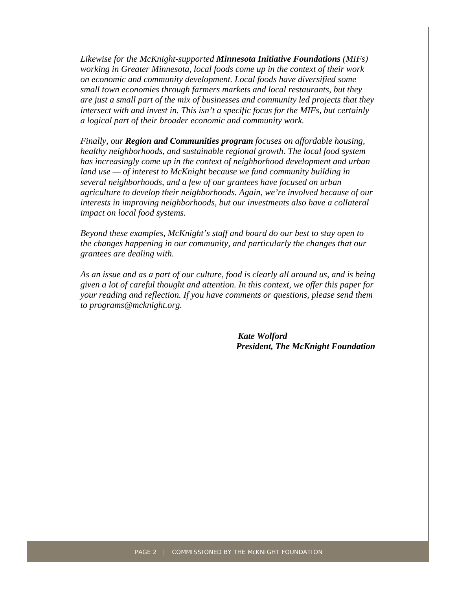*Likewise for the McKnight-supported Minnesota Initiative Foundations (MIFs) working in Greater Minnesota, local foods come up in the context of their work on economic and community development. Local foods have diversified some small town economies through farmers markets and local restaurants, but they are just a small part of the mix of businesses and community led projects that they intersect with and invest in. This isn't a specific focus for the MIFs, but certainly a logical part of their broader economic and community work.* 

*Finally, our Region and Communities program focuses on affordable housing, healthy neighborhoods, and sustainable regional growth. The local food system has increasingly come up in the context of neighborhood development and urban land use — of interest to McKnight because we fund community building in several neighborhoods, and a few of our grantees have focused on urban agriculture to develop their neighborhoods. Again, we're involved because of our interests in improving neighborhoods, but our investments also have a collateral impact on local food systems.* 

*Beyond these examples, McKnight's staff and board do our best to stay open to the changes happening in our community, and particularly the changes that our grantees are dealing with.* 

*As an issue and as a part of our culture, food is clearly all around us, and is being given a lot of careful thought and attention. In this context, we offer this paper for your reading and reflection. If you have comments or questions, please send them to programs@mcknight.org.* 

> *Kate Wolford President, The McKnight Foundation*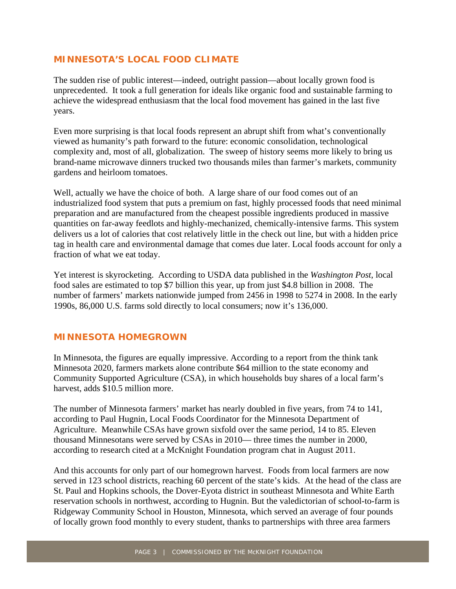#### **MINNESOTA'S LOCAL FOOD CLIMATE**

The sudden rise of public interest—indeed, outright passion—about locally grown food is unprecedented. It took a full generation for ideals like organic food and sustainable farming to achieve the widespread enthusiasm that the local food movement has gained in the last five years.

Even more surprising is that local foods represent an abrupt shift from what's conventionally viewed as humanity's path forward to the future: economic consolidation, technological complexity and, most of all, globalization. The sweep of history seems more likely to bring us brand-name microwave dinners trucked two thousands miles than farmer's markets, community gardens and heirloom tomatoes.

Well, actually we have the choice of both. A large share of our food comes out of an industrialized food system that puts a premium on fast, highly processed foods that need minimal preparation and are manufactured from the cheapest possible ingredients produced in massive quantities on far-away feedlots and highly-mechanized, chemically-intensive farms. This system delivers us a lot of calories that cost relatively little in the check out line, but with a hidden price tag in health care and environmental damage that comes due later. Local foods account for only a fraction of what we eat today.

Yet interest is skyrocketing. According to USDA data published in the *Washington Post*, local food sales are estimated to top \$7 billion this year, up from just \$4.8 billion in 2008. The number of farmers' markets nationwide jumped from 2456 in 1998 to 5274 in 2008. In the early 1990s, 86,000 U.S. farms sold directly to local consumers; now it's 136,000.

#### **MINNESOTA HOMEGROWN**

In Minnesota, the figures are equally impressive. According to a report from the think tank Minnesota 2020, farmers markets alone contribute \$64 million to the state economy and Community Supported Agriculture (CSA), in which households buy shares of a local farm's harvest, adds \$10.5 million more.

The number of Minnesota farmers' market has nearly doubled in five years, from 74 to 141, according to Paul Hugnin, Local Foods Coordinator for the Minnesota Department of Agriculture. Meanwhile CSAs have grown sixfold over the same period, 14 to 85. Eleven thousand Minnesotans were served by CSAs in 2010— three times the number in 2000, according to research cited at a McKnight Foundation program chat in August 2011.

And this accounts for only part of our homegrown harvest. Foods from local farmers are now served in 123 school districts, reaching 60 percent of the state's kids. At the head of the class are St. Paul and Hopkins schools, the Dover-Eyota district in southeast Minnesota and White Earth reservation schools in northwest, according to Hugnin. But the valedictorian of school-to-farm is Ridgeway Community School in Houston, Minnesota, which served an average of four pounds of locally grown food monthly to every student, thanks to partnerships with three area farmers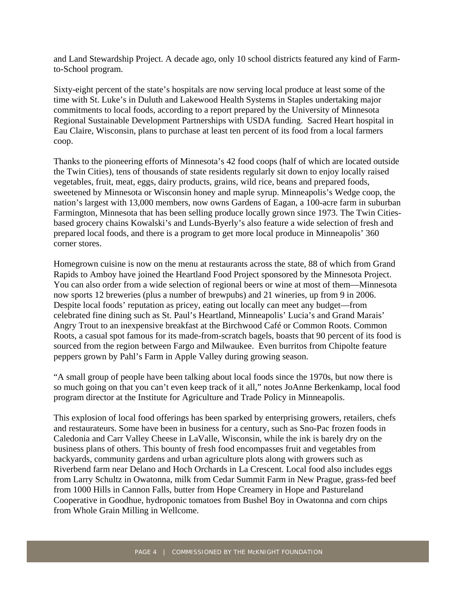and Land Stewardship Project. A decade ago, only 10 school districts featured any kind of Farmto-School program.

Sixty-eight percent of the state's hospitals are now serving local produce at least some of the time with St. Luke's in Duluth and Lakewood Health Systems in Staples undertaking major commitments to local foods, according to a report prepared by the University of Minnesota Regional Sustainable Development Partnerships with USDA funding. Sacred Heart hospital in Eau Claire, Wisconsin, plans to purchase at least ten percent of its food from a local farmers coop.

Thanks to the pioneering efforts of Minnesota's 42 food coops (half of which are located outside the Twin Cities), tens of thousands of state residents regularly sit down to enjoy locally raised vegetables, fruit, meat, eggs, dairy products, grains, wild rice, beans and prepared foods, sweetened by Minnesota or Wisconsin honey and maple syrup. Minneapolis's Wedge coop, the nation's largest with 13,000 members, now owns Gardens of Eagan, a 100-acre farm in suburban Farmington, Minnesota that has been selling produce locally grown since 1973. The Twin Citiesbased grocery chains Kowalski's and Lunds-Byerly's also feature a wide selection of fresh and prepared local foods, and there is a program to get more local produce in Minneapolis' 360 corner stores.

Homegrown cuisine is now on the menu at restaurants across the state, 88 of which from Grand Rapids to Amboy have joined the Heartland Food Project sponsored by the Minnesota Project. You can also order from a wide selection of regional beers or wine at most of them—Minnesota now sports 12 breweries (plus a number of brewpubs) and 21 wineries, up from 9 in 2006. Despite local foods' reputation as pricey, eating out locally can meet any budget—from celebrated fine dining such as St. Paul's Heartland, Minneapolis' Lucia's and Grand Marais' Angry Trout to an inexpensive breakfast at the Birchwood Café or Common Roots. Common Roots, a casual spot famous for its made-from-scratch bagels, boasts that 90 percent of its food is sourced from the region between Fargo and Milwaukee. Even burritos from Chipolte feature peppers grown by Pahl's Farm in Apple Valley during growing season.

"A small group of people have been talking about local foods since the 1970s, but now there is so much going on that you can't even keep track of it all," notes JoAnne Berkenkamp, local food program director at the Institute for Agriculture and Trade Policy in Minneapolis.

This explosion of local food offerings has been sparked by enterprising growers, retailers, chefs and restaurateurs. Some have been in business for a century, such as Sno-Pac frozen foods in Caledonia and Carr Valley Cheese in LaValle, Wisconsin, while the ink is barely dry on the business plans of others. This bounty of fresh food encompasses fruit and vegetables from backyards, community gardens and urban agriculture plots along with growers such as Riverbend farm near Delano and Hoch Orchards in La Crescent. Local food also includes eggs from Larry Schultz in Owatonna, milk from Cedar Summit Farm in New Prague, grass-fed beef from 1000 Hills in Cannon Falls, butter from Hope Creamery in Hope and Pastureland Cooperative in Goodhue, hydroponic tomatoes from Bushel Boy in Owatonna and corn chips from Whole Grain Milling in Wellcome.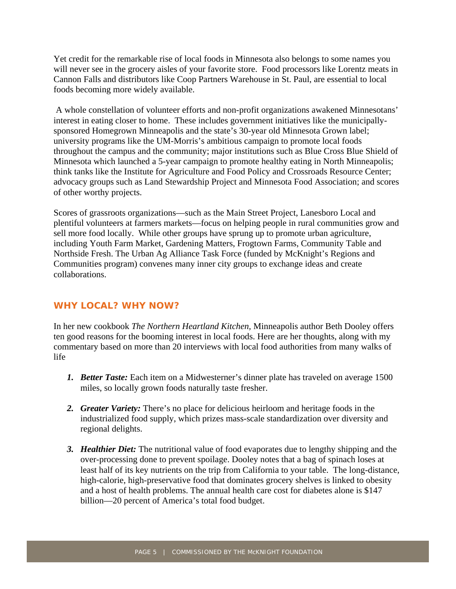Yet credit for the remarkable rise of local foods in Minnesota also belongs to some names you will never see in the grocery aisles of your favorite store. Food processors like Lorentz meats in Cannon Falls and distributors like Coop Partners Warehouse in St. Paul, are essential to local foods becoming more widely available.

 A whole constellation of volunteer efforts and non-profit organizations awakened Minnesotans' interest in eating closer to home. These includes government initiatives like the municipallysponsored Homegrown Minneapolis and the state's 30-year old Minnesota Grown label; university programs like the UM-Morris's ambitious campaign to promote local foods throughout the campus and the community; major institutions such as Blue Cross Blue Shield of Minnesota which launched a 5-year campaign to promote healthy eating in North Minneapolis; think tanks like the Institute for Agriculture and Food Policy and Crossroads Resource Center; advocacy groups such as Land Stewardship Project and Minnesota Food Association; and scores of other worthy projects.

Scores of grassroots organizations—such as the Main Street Project, Lanesboro Local and plentiful volunteers at farmers markets—focus on helping people in rural communities grow and sell more food locally. While other groups have sprung up to promote urban agriculture, including Youth Farm Market, Gardening Matters, Frogtown Farms, Community Table and Northside Fresh. The Urban Ag Alliance Task Force (funded by McKnight's Regions and Communities program) convenes many inner city groups to exchange ideas and create collaborations.

#### **WHY LOCAL? WHY NOW?**

In her new cookbook *The Northern Heartland Kitchen,* Minneapolis author Beth Dooley offers ten good reasons for the booming interest in local foods. Here are her thoughts, along with my commentary based on more than 20 interviews with local food authorities from many walks of life

- *1. Better Taste:* Each item on a Midwesterner's dinner plate has traveled on average 1500 miles, so locally grown foods naturally taste fresher.
- *2. Greater Variety:* There's no place for delicious heirloom and heritage foods in the industrialized food supply, which prizes mass-scale standardization over diversity and regional delights.
- *3. Healthier Diet:* The nutritional value of food evaporates due to lengthy shipping and the over-processing done to prevent spoilage. Dooley notes that a bag of spinach loses at least half of its key nutrients on the trip from California to your table. The long-distance, high-calorie, high-preservative food that dominates grocery shelves is linked to obesity and a host of health problems. The annual health care cost for diabetes alone is \$147 billion—20 percent of America's total food budget.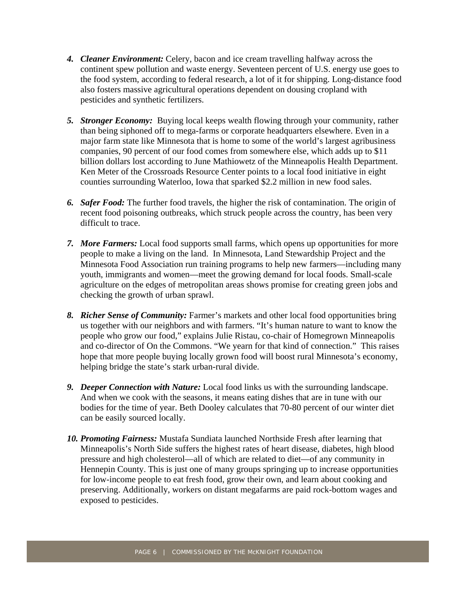- *4. Cleaner Environment:* Celery, bacon and ice cream travelling halfway across the continent spew pollution and waste energy. Seventeen percent of U.S. energy use goes to the food system, according to federal research, a lot of it for shipping. Long-distance food also fosters massive agricultural operations dependent on dousing cropland with pesticides and synthetic fertilizers.
- *5. Stronger Economy:* Buying local keeps wealth flowing through your community, rather than being siphoned off to mega-farms or corporate headquarters elsewhere. Even in a major farm state like Minnesota that is home to some of the world's largest agribusiness companies, 90 percent of our food comes from somewhere else, which adds up to \$11 billion dollars lost according to June Mathiowetz of the Minneapolis Health Department. Ken Meter of the Crossroads Resource Center points to a local food initiative in eight counties surrounding Waterloo, Iowa that sparked \$2.2 million in new food sales.
- *6. Safer Food:* The further food travels, the higher the risk of contamination. The origin of recent food poisoning outbreaks, which struck people across the country, has been very difficult to trace.
- *7. More Farmers:* Local food supports small farms, which opens up opportunities for more people to make a living on the land. In Minnesota, Land Stewardship Project and the Minnesota Food Association run training programs to help new farmers—including many youth, immigrants and women—meet the growing demand for local foods. Small-scale agriculture on the edges of metropolitan areas shows promise for creating green jobs and checking the growth of urban sprawl.
- *8. Richer Sense of Community:* Farmer's markets and other local food opportunities bring us together with our neighbors and with farmers. "It's human nature to want to know the people who grow our food," explains Julie Ristau, co-chair of Homegrown Minneapolis and co-director of On the Commons. "We yearn for that kind of connection." This raises hope that more people buying locally grown food will boost rural Minnesota's economy, helping bridge the state's stark urban-rural divide.
- *9. Deeper Connection with Nature:* Local food links us with the surrounding landscape. And when we cook with the seasons, it means eating dishes that are in tune with our bodies for the time of year. Beth Dooley calculates that 70-80 percent of our winter diet can be easily sourced locally.
- *10. Promoting Fairness:* Mustafa Sundiata launched Northside Fresh after learning that Minneapolis's North Side suffers the highest rates of heart disease, diabetes, high blood pressure and high cholesterol—all of which are related to diet—of any community in Hennepin County. This is just one of many groups springing up to increase opportunities for low-income people to eat fresh food, grow their own, and learn about cooking and preserving. Additionally, workers on distant megafarms are paid rock-bottom wages and exposed to pesticides.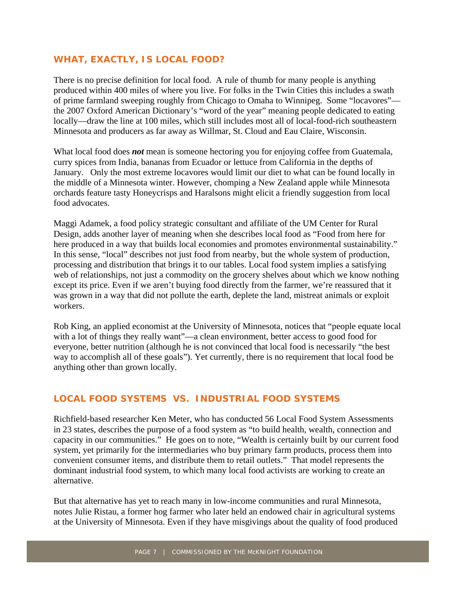#### **WHAT, EXACTLY, IS LOCAL FOOD?**

There is no precise definition for local food. A rule of thumb for many people is anything produced within 400 miles of where you live. For folks in the Twin Cities this includes a swath of prime farmland sweeping roughly from Chicago to Omaha to Winnipeg. Some "locavores" the 2007 Oxford American Dictionary's "word of the year" meaning people dedicated to eating locally—draw the line at 100 miles, which still includes most all of local-food-rich southeastern Minnesota and producers as far away as Willmar, St. Cloud and Eau Claire, Wisconsin.

What local food does *not* mean is someone hectoring you for enjoying coffee from Guatemala, curry spices from India, bananas from Ecuador or lettuce from California in the depths of January. Only the most extreme locavores would limit our diet to what can be found locally in the middle of a Minnesota winter. However, chomping a New Zealand apple while Minnesota orchards feature tasty Honeycrisps and Haralsons might elicit a friendly suggestion from local food advocates.

Maggi Adamek, a food policy strategic consultant and affiliate of the UM Center for Rural Design, adds another layer of meaning when she describes local food as "Food from here for here produced in a way that builds local economies and promotes environmental sustainability." In this sense, "local" describes not just food from nearby, but the whole system of production, processing and distribution that brings it to our tables. Local food system implies a satisfying web of relationships, not just a commodity on the grocery shelves about which we know nothing except its price. Even if we aren't buying food directly from the farmer, we're reassured that it was grown in a way that did not pollute the earth, deplete the land, mistreat animals or exploit workers.

Rob King, an applied economist at the University of Minnesota, notices that "people equate local with a lot of things they really want"—a clean environment, better access to good food for everyone, better nutrition (although he is not convinced that local food is necessarily "the best way to accomplish all of these goals"). Yet currently, there is no requirement that local food be anything other than grown locally.

#### **LOCAL FOOD SYSTEMS VS. INDUSTRIAL FOOD SYSTEMS**

Richfield-based researcher Ken Meter, who has conducted 56 Local Food System Assessments in 23 states, describes the purpose of a food system as "to build health, wealth, connection and capacity in our communities." He goes on to note, "Wealth is certainly built by our current food system, yet primarily for the intermediaries who buy primary farm products, process them into convenient consumer items, and distribute them to retail outlets." That model represents the dominant industrial food system, to which many local food activists are working to create an alternative.

But that alternative has yet to reach many in low-income communities and rural Minnesota, notes Julie Ristau, a former hog farmer who later held an endowed chair in agricultural systems at the University of Minnesota. Even if they have misgivings about the quality of food produced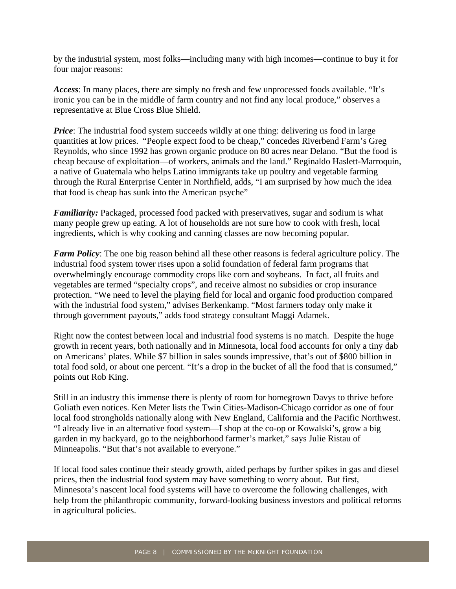by the industrial system, most folks—including many with high incomes—continue to buy it for four major reasons:

*Access*: In many places, there are simply no fresh and few unprocessed foods available. "It's ironic you can be in the middle of farm country and not find any local produce," observes a representative at Blue Cross Blue Shield.

*Price*: The industrial food system succeeds wildly at one thing: delivering us food in large quantities at low prices. "People expect food to be cheap," concedes Riverbend Farm's Greg Reynolds, who since 1992 has grown organic produce on 80 acres near Delano. "But the food is cheap because of exploitation—of workers, animals and the land." Reginaldo Haslett-Marroquin, a native of Guatemala who helps Latino immigrants take up poultry and vegetable farming through the Rural Enterprise Center in Northfield, adds, "I am surprised by how much the idea that food is cheap has sunk into the American psyche"

*Familiarity:* Packaged, processed food packed with preservatives, sugar and sodium is what many people grew up eating. A lot of households are not sure how to cook with fresh, local ingredients, which is why cooking and canning classes are now becoming popular.

*Farm Policy*: The one big reason behind all these other reasons is federal agriculture policy. The industrial food system tower rises upon a solid foundation of federal farm programs that overwhelmingly encourage commodity crops like corn and soybeans. In fact, all fruits and vegetables are termed "specialty crops", and receive almost no subsidies or crop insurance protection. "We need to level the playing field for local and organic food production compared with the industrial food system," advises Berkenkamp. "Most farmers today only make it through government payouts," adds food strategy consultant Maggi Adamek.

Right now the contest between local and industrial food systems is no match. Despite the huge growth in recent years, both nationally and in Minnesota, local food accounts for only a tiny dab on Americans' plates. While \$7 billion in sales sounds impressive, that's out of \$800 billion in total food sold, or about one percent. "It's a drop in the bucket of all the food that is consumed," points out Rob King.

Still in an industry this immense there is plenty of room for homegrown Davys to thrive before Goliath even notices. Ken Meter lists the Twin Cities-Madison-Chicago corridor as one of four local food strongholds nationally along with New England, California and the Pacific Northwest. "I already live in an alternative food system—I shop at the co-op or Kowalski's, grow a big garden in my backyard, go to the neighborhood farmer's market," says Julie Ristau of Minneapolis. "But that's not available to everyone."

If local food sales continue their steady growth, aided perhaps by further spikes in gas and diesel prices, then the industrial food system may have something to worry about. But first, Minnesota's nascent local food systems will have to overcome the following challenges, with help from the philanthropic community, forward-looking business investors and political reforms in agricultural policies.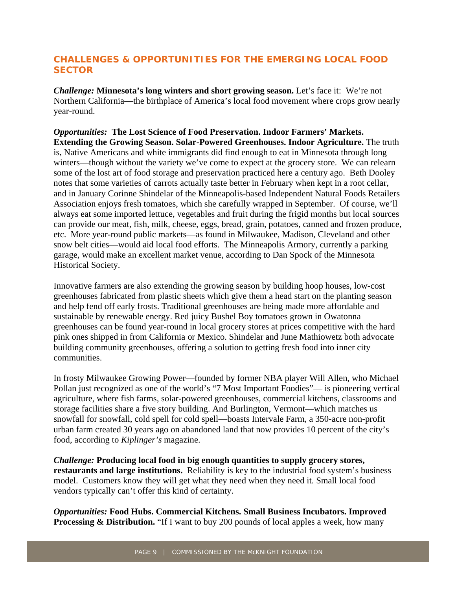### **CHALLENGES & OPPORTUNITIES FOR THE EMERGING LOCAL FOOD SECTOR**

*Challenge:* **Minnesota's long winters and short growing season.** Let's face it: We're not Northern California—the birthplace of America's local food movement where crops grow nearly year-round.

*Opportunities:* **The Lost Science of Food Preservation. Indoor Farmers' Markets. Extending the Growing Season. Solar-Powered Greenhouses. Indoor Agriculture.** The truth is, Native Americans and white immigrants did find enough to eat in Minnesota through long winters—though without the variety we've come to expect at the grocery store. We can relearn some of the lost art of food storage and preservation practiced here a century ago. Beth Dooley notes that some varieties of carrots actually taste better in February when kept in a root cellar, and in January Corinne Shindelar of the Minneapolis-based Independent Natural Foods Retailers Association enjoys fresh tomatoes, which she carefully wrapped in September. Of course, we'll always eat some imported lettuce, vegetables and fruit during the frigid months but local sources can provide our meat, fish, milk, cheese, eggs, bread, grain, potatoes, canned and frozen produce, etc. More year-round public markets—as found in Milwaukee, Madison, Cleveland and other snow belt cities—would aid local food efforts. The Minneapolis Armory, currently a parking garage, would make an excellent market venue, according to Dan Spock of the Minnesota Historical Society.

Innovative farmers are also extending the growing season by building hoop houses, low-cost greenhouses fabricated from plastic sheets which give them a head start on the planting season and help fend off early frosts. Traditional greenhouses are being made more affordable and sustainable by renewable energy. Red juicy Bushel Boy tomatoes grown in Owatonna greenhouses can be found year-round in local grocery stores at prices competitive with the hard pink ones shipped in from California or Mexico. Shindelar and June Mathiowetz both advocate building community greenhouses, offering a solution to getting fresh food into inner city communities.

In frosty Milwaukee Growing Power—founded by former NBA player Will Allen, who Michael Pollan just recognized as one of the world's "7 Most Important Foodies"— is pioneering vertical agriculture, where fish farms, solar-powered greenhouses, commercial kitchens, classrooms and storage facilities share a five story building. And Burlington, Vermont—which matches us snowfall for snowfall, cold spell for cold spell—boasts Intervale Farm, a 350-acre non-profit urban farm created 30 years ago on abandoned land that now provides 10 percent of the city's food, according to *Kiplinger's* magazine.

*Challenge:* **Producing local food in big enough quantities to supply grocery stores, restaurants and large institutions.** Reliability is key to the industrial food system's business model. Customers know they will get what they need when they need it. Small local food vendors typically can't offer this kind of certainty.

*Opportunities:* **Food Hubs. Commercial Kitchens. Small Business Incubators. Improved Processing & Distribution.** "If I want to buy 200 pounds of local apples a week, how many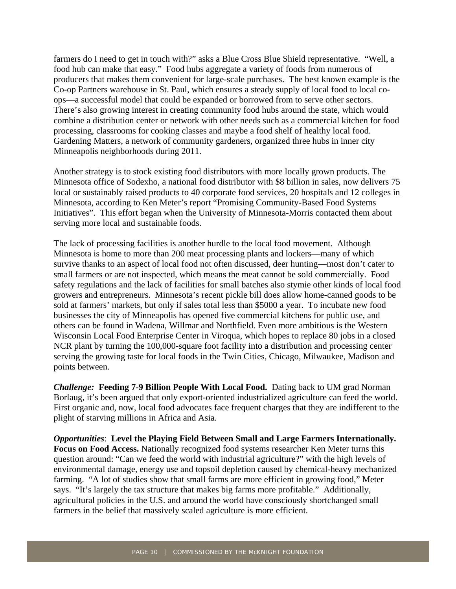farmers do I need to get in touch with?" asks a Blue Cross Blue Shield representative. "Well, a food hub can make that easy." Food hubs aggregate a variety of foods from numerous of producers that makes them convenient for large-scale purchases. The best known example is the Co-op Partners warehouse in St. Paul, which ensures a steady supply of local food to local coops—a successful model that could be expanded or borrowed from to serve other sectors. There's also growing interest in creating community food hubs around the state, which would combine a distribution center or network with other needs such as a commercial kitchen for food processing, classrooms for cooking classes and maybe a food shelf of healthy local food. Gardening Matters, a network of community gardeners, organized three hubs in inner city Minneapolis neighborhoods during 2011.

Another strategy is to stock existing food distributors with more locally grown products. The Minnesota office of Sodexho, a national food distributor with \$8 billion in sales, now delivers 75 local or sustainably raised products to 40 corporate food services, 20 hospitals and 12 colleges in Minnesota, according to Ken Meter's report "Promising Community-Based Food Systems Initiatives". This effort began when the University of Minnesota-Morris contacted them about serving more local and sustainable foods.

The lack of processing facilities is another hurdle to the local food movement. Although Minnesota is home to more than 200 meat processing plants and lockers—many of which survive thanks to an aspect of local food not often discussed, deer hunting—most don't cater to small farmers or are not inspected, which means the meat cannot be sold commercially. Food safety regulations and the lack of facilities for small batches also stymie other kinds of local food growers and entrepreneurs. Minnesota's recent pickle bill does allow home-canned goods to be sold at farmers' markets, but only if sales total less than \$5000 a year. To incubate new food businesses the city of Minneapolis has opened five commercial kitchens for public use, and others can be found in Wadena, Willmar and Northfield. Even more ambitious is the Western Wisconsin Local Food Enterprise Center in Viroqua, which hopes to replace 80 jobs in a closed NCR plant by turning the 100,000-square foot facility into a distribution and processing center serving the growing taste for local foods in the Twin Cities, Chicago, Milwaukee, Madison and points between.

*Challenge:* **Feeding 7-9 Billion People With Local Food.** Dating back to UM grad Norman Borlaug, it's been argued that only export-oriented industrialized agriculture can feed the world. First organic and, now, local food advocates face frequent charges that they are indifferent to the plight of starving millions in Africa and Asia.

*Opportunities*: **Level the Playing Field Between Small and Large Farmers Internationally. Focus on Food Access.** Nationally recognized food systems researcher Ken Meter turns this question around: "Can we feed the world with industrial agriculture?" with the high levels of environmental damage, energy use and topsoil depletion caused by chemical-heavy mechanized farming. "A lot of studies show that small farms are more efficient in growing food," Meter says. "It's largely the tax structure that makes big farms more profitable." Additionally, agricultural policies in the U.S. and around the world have consciously shortchanged small farmers in the belief that massively scaled agriculture is more efficient.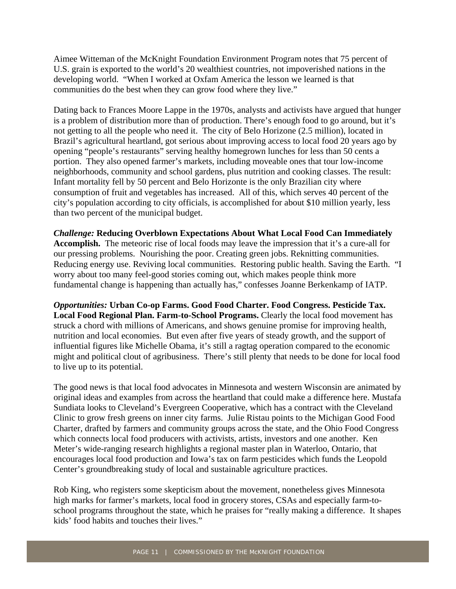Aimee Witteman of the McKnight Foundation Environment Program notes that 75 percent of U.S. grain is exported to the world's 20 wealthiest countries, not impoverished nations in the developing world. "When I worked at Oxfam America the lesson we learned is that communities do the best when they can grow food where they live."

Dating back to Frances Moore Lappe in the 1970s, analysts and activists have argued that hunger is a problem of distribution more than of production. There's enough food to go around, but it's not getting to all the people who need it. The city of Belo Horizone (2.5 million), located in Brazil's agricultural heartland, got serious about improving access to local food 20 years ago by opening "people's restaurants" serving healthy homegrown lunches for less than 50 cents a portion. They also opened farmer's markets, including moveable ones that tour low-income neighborhoods, community and school gardens, plus nutrition and cooking classes. The result: Infant mortality fell by 50 percent and Belo Horizonte is the only Brazilian city where consumption of fruit and vegetables has increased. All of this, which serves 40 percent of the city's population according to city officials, is accomplished for about \$10 million yearly, less than two percent of the municipal budget.

*Challenge:* **Reducing Overblown Expectations About What Local Food Can Immediately Accomplish.** The meteoric rise of local foods may leave the impression that it's a cure-all for our pressing problems. Nourishing the poor. Creating green jobs. Reknitting communities. Reducing energy use. Reviving local communities. Restoring public health. Saving the Earth. "I worry about too many feel-good stories coming out, which makes people think more fundamental change is happening than actually has," confesses Joanne Berkenkamp of IATP.

*Opportunities:* **Urban Co-op Farms. Good Food Charter. Food Congress. Pesticide Tax. Local Food Regional Plan. Farm-to-School Programs.** Clearly the local food movement has struck a chord with millions of Americans, and shows genuine promise for improving health, nutrition and local economies. But even after five years of steady growth, and the support of influential figures like Michelle Obama, it's still a ragtag operation compared to the economic might and political clout of agribusiness. There's still plenty that needs to be done for local food to live up to its potential.

The good news is that local food advocates in Minnesota and western Wisconsin are animated by original ideas and examples from across the heartland that could make a difference here. Mustafa Sundiata looks to Cleveland's Evergreen Cooperative, which has a contract with the Cleveland Clinic to grow fresh greens on inner city farms. Julie Ristau points to the Michigan Good Food Charter, drafted by farmers and community groups across the state, and the Ohio Food Congress which connects local food producers with activists, artists, investors and one another. Ken Meter's wide-ranging research highlights a regional master plan in Waterloo, Ontario, that encourages local food production and Iowa's tax on farm pesticides which funds the Leopold Center's groundbreaking study of local and sustainable agriculture practices.

Rob King, who registers some skepticism about the movement, nonetheless gives Minnesota high marks for farmer's markets, local food in grocery stores, CSAs and especially farm-toschool programs throughout the state, which he praises for "really making a difference. It shapes kids' food habits and touches their lives."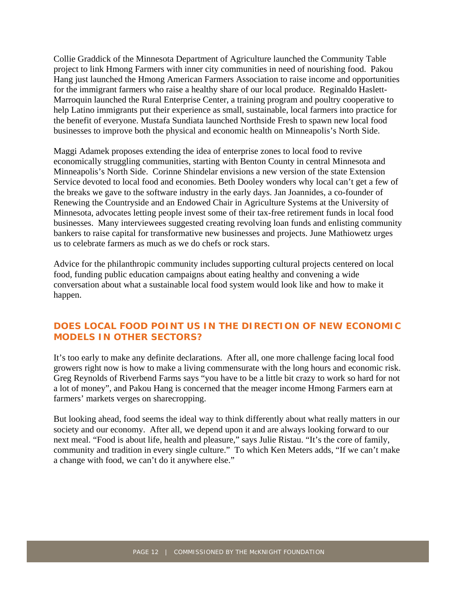Collie Graddick of the Minnesota Department of Agriculture launched the Community Table project to link Hmong Farmers with inner city communities in need of nourishing food. Pakou Hang just launched the Hmong American Farmers Association to raise income and opportunities for the immigrant farmers who raise a healthy share of our local produce. Reginaldo Haslett-Marroquin launched the Rural Enterprise Center, a training program and poultry cooperative to help Latino immigrants put their experience as small, sustainable, local farmers into practice for the benefit of everyone. Mustafa Sundiata launched Northside Fresh to spawn new local food businesses to improve both the physical and economic health on Minneapolis's North Side.

Maggi Adamek proposes extending the idea of enterprise zones to local food to revive economically struggling communities, starting with Benton County in central Minnesota and Minneapolis's North Side. Corinne Shindelar envisions a new version of the state Extension Service devoted to local food and economies. Beth Dooley wonders why local can't get a few of the breaks we gave to the software industry in the early days. Jan Joannides, a co-founder of Renewing the Countryside and an Endowed Chair in Agriculture Systems at the University of Minnesota, advocates letting people invest some of their tax-free retirement funds in local food businesses. Many interviewees suggested creating revolving loan funds and enlisting community bankers to raise capital for transformative new businesses and projects. June Mathiowetz urges us to celebrate farmers as much as we do chefs or rock stars.

Advice for the philanthropic community includes supporting cultural projects centered on local food, funding public education campaigns about eating healthy and convening a wide conversation about what a sustainable local food system would look like and how to make it happen.

#### **DOES LOCAL FOOD POINT US IN THE DIRECTION OF NEW ECONOMIC MODELS IN OTHER SECTORS?**

It's too early to make any definite declarations. After all, one more challenge facing local food growers right now is how to make a living commensurate with the long hours and economic risk. Greg Reynolds of Riverbend Farms says "you have to be a little bit crazy to work so hard for not a lot of money", and Pakou Hang is concerned that the meager income Hmong Farmers earn at farmers' markets verges on sharecropping.

But looking ahead, food seems the ideal way to think differently about what really matters in our society and our economy. After all, we depend upon it and are always looking forward to our next meal. "Food is about life, health and pleasure," says Julie Ristau. "It's the core of family, community and tradition in every single culture." To which Ken Meters adds, "If we can't make a change with food, we can't do it anywhere else."